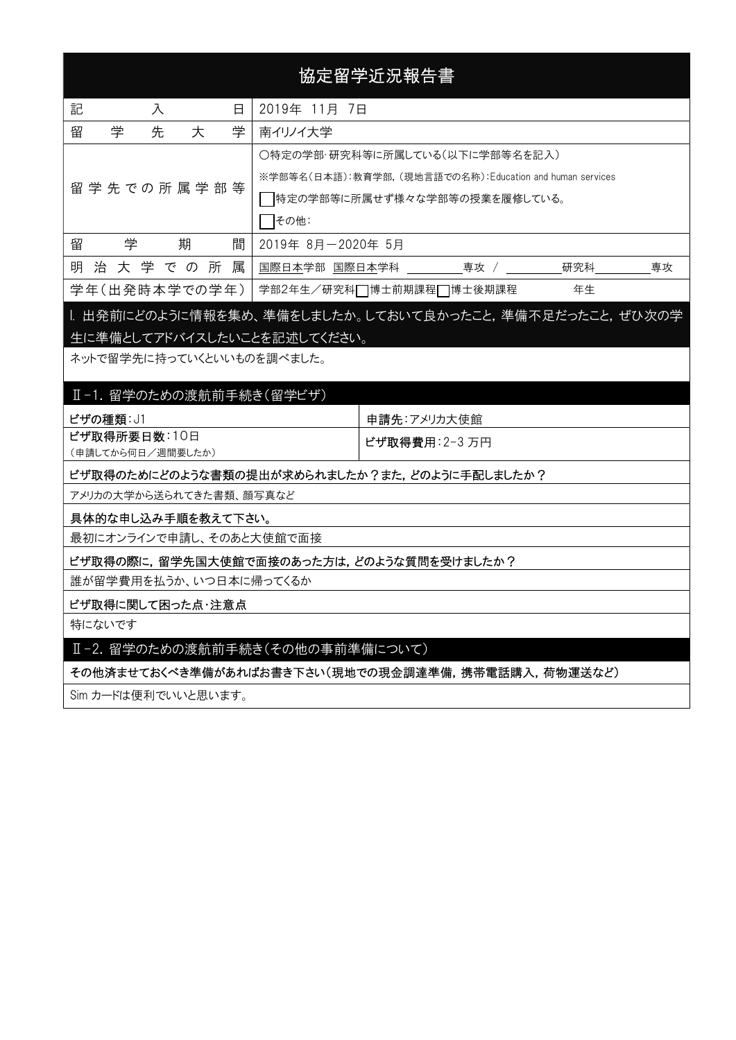# 協定留学近況報告書

| 記<br>日<br>入   |                    |  |             |   | 2019年 11月 7日                                             |    |    |  |  |
|---------------|--------------------|--|-------------|---|----------------------------------------------------------|----|----|--|--|
| 留             | 学<br>学<br>先<br>大   |  |             |   | 南イリノイ大学                                                  |    |    |  |  |
|               |                    |  |             |   | ○特定の学部・研究科等に所属している(以下に学部等名を記入)                           |    |    |  |  |
|               | 留 学 先 での 所 属 学 部 等 |  |             |   | ※学部等名(日本語):教育学部. (現地言語での名称):Education and human services |    |    |  |  |
|               |                    |  |             |   | 特定の学部等に所属せず様々な学部等の授業を履修している。                             |    |    |  |  |
|               |                    |  |             |   | その他:                                                     |    |    |  |  |
| 留             | 学                  |  | 期           | 間 | 2019年 8月-2020年 5月                                        |    |    |  |  |
| 明             |                    |  | 治 大 学 で の 所 | 属 | 専攻 /<br>研究科<br>国際日本学部 国際日本学科                             |    | 専攻 |  |  |
| 学年(出発時本学での学年) |                    |  |             |   | 学部2年生/研究科□博士前期課程□博士後期課程                                  | 年生 |    |  |  |

# I. 出発前にどのように情報を集め、準備をしましたか。しておいて良かったこと,準備不足だったこと,ぜひ次の学 生に準備としてアドバイスしたいことを記述してください。

ネットで留学先に持っていくといいものを調べました。

#### Ⅱ-1. 留学のための渡航前手続き(留学ビザ)

| ビザの種類: J1         | 申請先:アメリカ大使館             |  |  |  |
|-------------------|-------------------------|--|--|--|
| ビザ取得所要日数:10日      | │ <b>ビザ取得費用</b> ∶2−3 万円 |  |  |  |
| (申請してから何日/週間要したか) |                         |  |  |  |

#### ビザ取得のためにどのような書類の提出が求められましたか?また,どのように手配しましたか?

アメリカの大学から送られてきた書類、顔写真など

#### 具体的な申し込み手順を教えて下さい。

最初にオンラインで申請し、そのあと大使館で面接

ビザ取得の際に,留学先国大使館で面接のあった方は,どのような質問を受けましたか?

誰が留学費用を払うか、いつ日本に帰ってくるか

#### ビザ取得に関して困った点・注意点

特にないです

#### Ⅱ-2. 留学のための渡航前手続き(その他の事前準備について)

その他済ませておくべき準備があればお書き下さい(現地での現金調達準備,携帯電話購入,荷物運送など)

Sim カードは便利でいいと思います。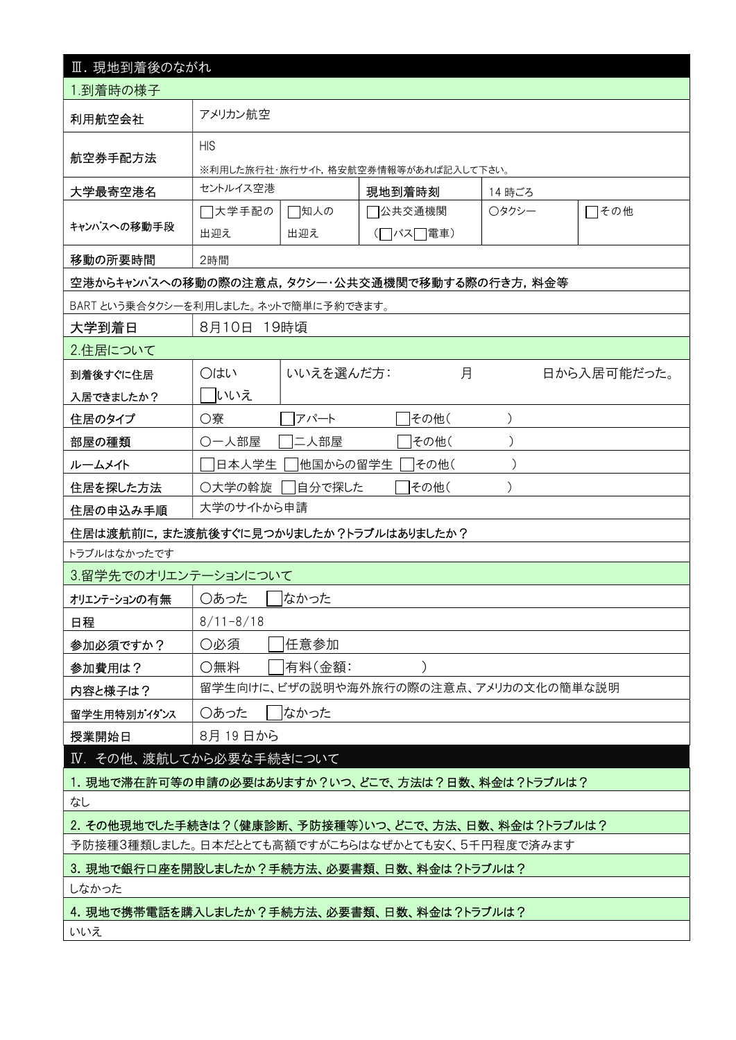| Ⅲ. 現地到着後のながれ                                      |                                                                      |           |                                       |   |        |             |  |  |
|---------------------------------------------------|----------------------------------------------------------------------|-----------|---------------------------------------|---|--------|-------------|--|--|
| 1.到着時の様子                                          |                                                                      |           |                                       |   |        |             |  |  |
| 利用航空会社                                            | アメリカン航空                                                              |           |                                       |   |        |             |  |  |
| 航空券手配方法                                           | <b>HIS</b><br>※利用した旅行社・旅行サイト,格安航空券情報等があれば記入して下さい。                    |           |                                       |   |        |             |  |  |
| 大学最寄空港名                                           | セントルイス空港                                                             |           | 現地到着時刻                                |   | 14 時ごろ |             |  |  |
| キャンパスへの移動手段                                       | □大学手配の<br>7公共交通機関<br>□知人の<br>○タクシー<br>□その他<br>(□バス□電車)<br>出迎え<br>出迎え |           |                                       |   |        |             |  |  |
| 移動の所要時間                                           | 2時間                                                                  |           |                                       |   |        |             |  |  |
| 空港からキャンパスへの移動の際の注意点,タクシー・公共交通機関で移動する際の行き方,料金等     |                                                                      |           |                                       |   |        |             |  |  |
| BART という乗合タクシーを利用しました。ネットで簡単に予約できます。              |                                                                      |           |                                       |   |        |             |  |  |
| 大学到着日                                             | 8月10日 19時頃                                                           |           |                                       |   |        |             |  |  |
| 2.住居について                                          |                                                                      |           |                                       |   |        |             |  |  |
| 到着後すぐに住居                                          | ○はい                                                                  | いいえを選んだ方: |                                       | 月 |        | 日から入居可能だった。 |  |  |
| 入居できましたか?                                         | いいえ                                                                  |           |                                       |   |        |             |  |  |
| 住居のタイプ                                            | ○寮                                                                   | アパート      | その他(                                  |   |        |             |  |  |
| 部屋の種類                                             | ○一人部屋                                                                | 二人部屋      | その他(                                  |   |        |             |  |  |
| ルームメイト                                            | 他国からの留学生<br> その他(<br>日本人学生                                           |           |                                       |   |        |             |  |  |
| 住居を探した方法                                          | ○大学の斡旋<br>その他(<br>自分で探した                                             |           |                                       |   |        |             |  |  |
| 住居の申込み手順                                          | 大学のサイトから申請                                                           |           |                                       |   |        |             |  |  |
| 住居は渡航前に,また渡航後すぐに見つかりましたか?トラブルはありましたか?             |                                                                      |           |                                       |   |        |             |  |  |
| トラブルはなかったです                                       |                                                                      |           |                                       |   |        |             |  |  |
| 3.留学先でのオリエンテーションについて                              |                                                                      |           |                                       |   |        |             |  |  |
| オリエンテーションの有無                                      | ○あった                                                                 | なかった      |                                       |   |        |             |  |  |
| 日程                                                | $8/11 - 8/18$                                                        |           |                                       |   |        |             |  |  |
| 参加必須ですか?                                          | ○必須                                                                  | 任意参加      |                                       |   |        |             |  |  |
| 参加費用は?                                            | ○無料                                                                  | 有料(金額:    |                                       |   |        |             |  |  |
| 内容と様子は?                                           |                                                                      |           | 留学生向けに、ビザの説明や海外旅行の際の注意点、アメリカの文化の簡単な説明 |   |        |             |  |  |
| 留学生用特別ガイダンス                                       | ○あった                                                                 | はかった      |                                       |   |        |             |  |  |
| 授業開始日                                             | 8月 19 日から                                                            |           |                                       |   |        |             |  |  |
| IV. その他、渡航してから必要な手続きについて                          |                                                                      |           |                                       |   |        |             |  |  |
| 1.現地で滞在許可等の申請の必要はありますか?いつ、どこで、方法は?日数、料金は?トラブルは?   |                                                                      |           |                                       |   |        |             |  |  |
| なし                                                |                                                                      |           |                                       |   |        |             |  |  |
|                                                   | 2. その他現地でした手続きは?(健康診断、予防接種等)いつ、どこで、方法、日数、料金は?トラブルは?                  |           |                                       |   |        |             |  |  |
| 予防接種3種類しました。日本だととても高額ですがこちらはなぜかとても安く、5千円程度で済みます   |                                                                      |           |                                       |   |        |             |  |  |
| 3. 現地で銀行口座を開設しましたか?手続方法、必要書類、日数、料金は?トラブルは?        |                                                                      |           |                                       |   |        |             |  |  |
| しなかった                                             |                                                                      |           |                                       |   |        |             |  |  |
| 4. 現地で携帯電話を購入しましたか?手続方法、必要書類、日数、料金は?トラブルは?<br>いいえ |                                                                      |           |                                       |   |        |             |  |  |
|                                                   |                                                                      |           |                                       |   |        |             |  |  |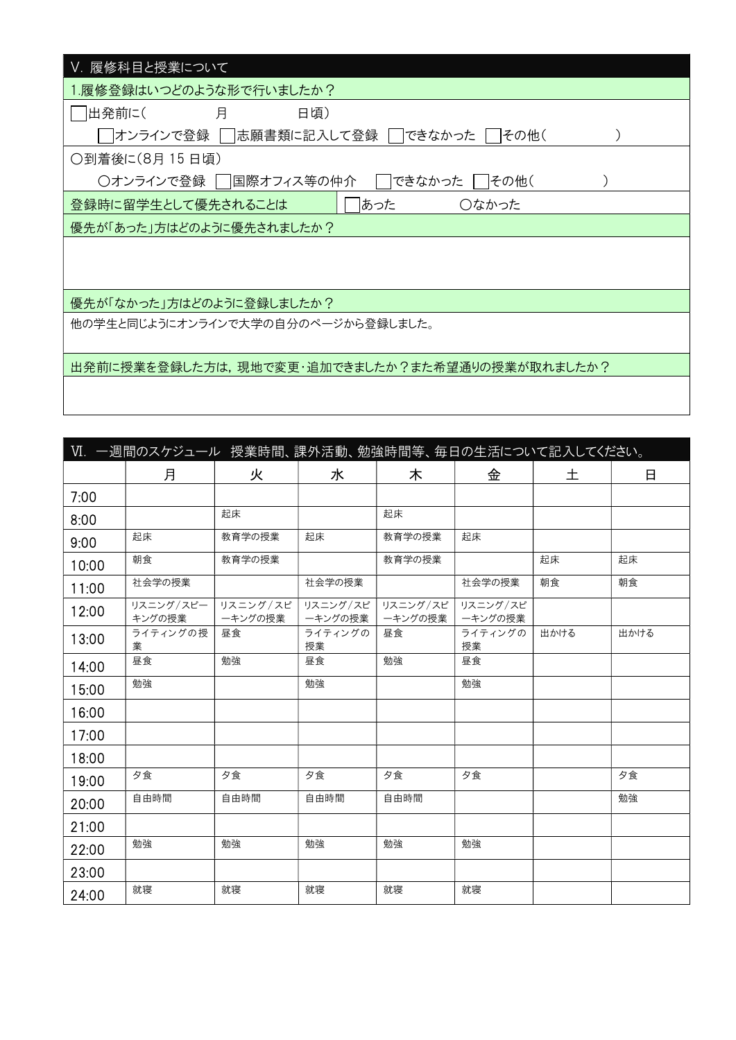| V. 履修科目と授業について                                  |
|-------------------------------------------------|
| 1.履修登録はいつどのような形で行いましたか?                         |
| 出発前に(<br>月<br>日頃)                               |
| オンラインで登録    志願書類に記入して登録  <br>できなかった  <br> その他(  |
| ○到着後に(8月 15 日頃)                                 |
| できなかった<br>○オンラインで登録 │<br> 国際オフィス等の仲介<br>   その他( |
| あった<br>登録時に留学生として優先されることは<br>○なかった              |
| 優先が「あった」方はどのように優先されましたか?                        |
|                                                 |
|                                                 |
| 優先が「なかった」方はどのように登録しましたか?                        |
| 他の学生と同じようにオンラインで大学の自分のページから登録しました。              |
|                                                 |
| 出発前に授業を登録した方は,現地で変更・追加できましたか?また希望通りの授業が取れましたか?  |
|                                                 |

| Ⅵ. 一週間のスケジュール 授業時間、課外活動、勉強時間等、毎日の生活について記入してください。 |               |          |               |          |               |      |      |  |  |
|--------------------------------------------------|---------------|----------|---------------|----------|---------------|------|------|--|--|
|                                                  | 月             | 火        | 水             | 木        | 金             | 土    | 日    |  |  |
| 7:00                                             |               |          |               |          |               |      |      |  |  |
| 8:00                                             |               | 起床       |               | 起床       |               |      |      |  |  |
| 9:00                                             | 起床            | 教育学の授業   | 起床            | 教育学の授業   | 起床            |      |      |  |  |
| 10:00                                            | 朝食            | 教育学の授業   |               | 教育学の授業   |               | 起床   | 起床   |  |  |
| 11:00                                            | 社会学の授業        |          | 社会学の授業        |          | 社会学の授業        | 朝食   | 朝食   |  |  |
| 12:00                                            | リスニング/スピー     | リスニング/スピ | リスニング/スピ      | リスニング/スピ | リスニング/スピ      |      |      |  |  |
|                                                  | キングの授業        | ーキングの授業  | ーキングの授業       | ーキングの授業  | ーキングの授業       |      |      |  |  |
| 13:00                                            | ライティングの授<br>業 | 昼食       | ライティングの<br>授業 | 昼食       | ライティングの<br>授業 | 出かける | 出かける |  |  |
| 14:00                                            | 昼食            | 勉強       | 昼食            | 勉強       | 昼食            |      |      |  |  |
| 15:00                                            | 勉強            |          | 勉強            |          | 勉強            |      |      |  |  |
| 16:00                                            |               |          |               |          |               |      |      |  |  |
| 17:00                                            |               |          |               |          |               |      |      |  |  |
| 18:00                                            |               |          |               |          |               |      |      |  |  |
| 19:00                                            | 夕食            | 夕食       | 夕食            | 夕食       | 夕食            |      | 夕食   |  |  |
| 20:00                                            | 自由時間          | 自由時間     | 自由時間          | 自由時間     |               |      | 勉強   |  |  |
| 21:00                                            |               |          |               |          |               |      |      |  |  |
| 22:00                                            | 勉強            | 勉強       | 勉強            | 勉強       | 勉強            |      |      |  |  |
| 23:00                                            |               |          |               |          |               |      |      |  |  |
| 24:00                                            | 就寝            | 就寝       | 就寝            | 就寝       | 就寝            |      |      |  |  |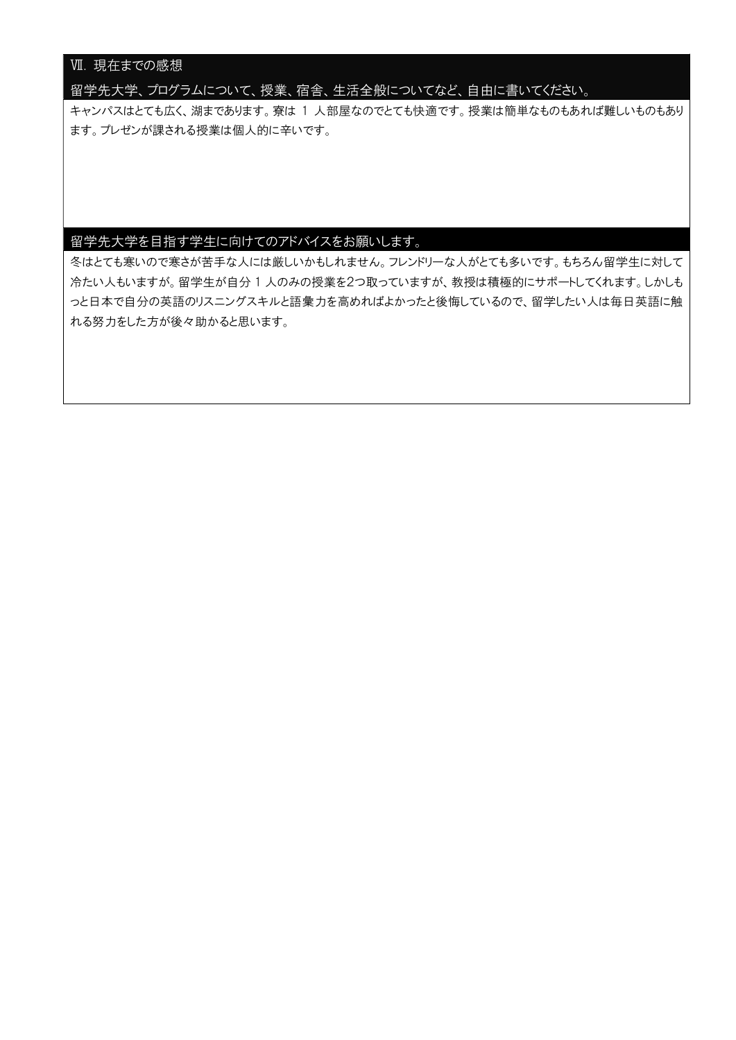## Ⅶ. 現在までの感想

留学先大学、プログラムについて、授業、宿舎、生活全般についてなど、自由に書いてください。

キャンパスはとても広く、湖まであります。寮は 1 人部屋なのでとても快適です。授業は簡単なものもあれば難しいものもあり ます。プレゼンが課される授業は個人的に辛いです。

### 留学先大学を目指す学生に向けてのアドバイスをお願いします。

冬はとても寒いので寒さが苦手な人には厳しいかもしれません。フレンドリーな人がとても多いです。もちろん留学生に対して 冷たい人もいますが。留学生が自分 1 人のみの授業を2つ取っていますが、教授は積極的にサポートしてくれます。しかしも っと日本で自分の英語のリスニングスキルと語彙力を高めればよかったと後悔しているので、留学したい人は毎日英語に触 れる努力をした方が後々助かると思います。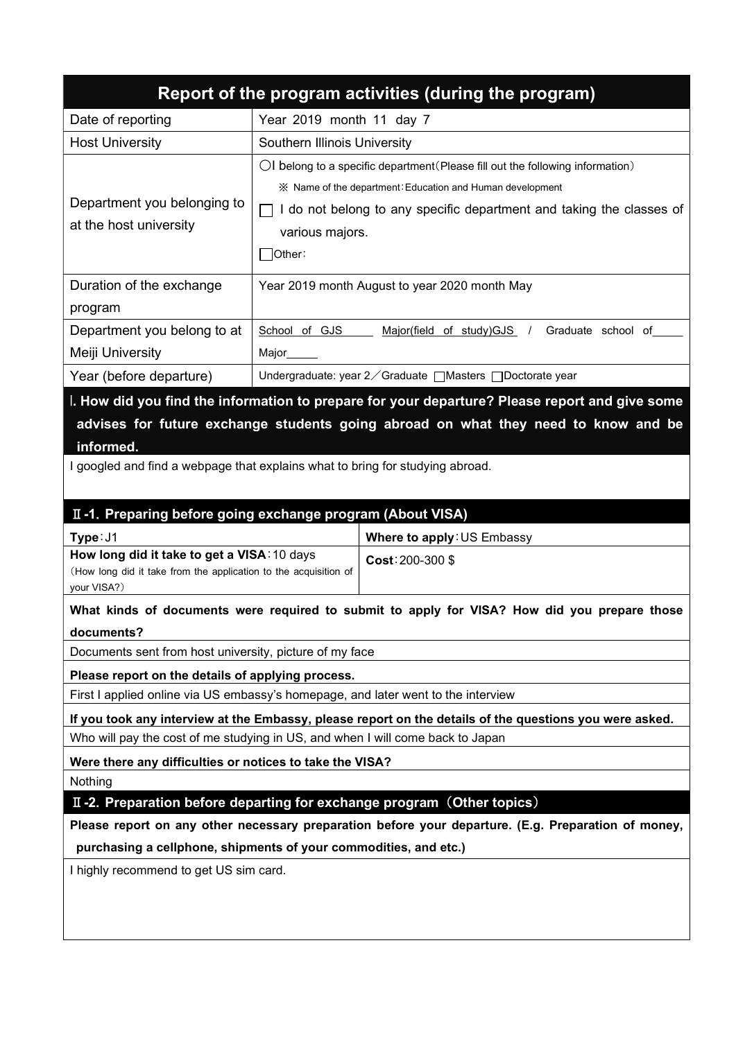|                                                                                                                                        |                                                                                                                                                                     | Report of the program activities (during the program)                                                                                                                                                                                          |  |  |  |  |  |  |
|----------------------------------------------------------------------------------------------------------------------------------------|---------------------------------------------------------------------------------------------------------------------------------------------------------------------|------------------------------------------------------------------------------------------------------------------------------------------------------------------------------------------------------------------------------------------------|--|--|--|--|--|--|
| Date of reporting                                                                                                                      | Year 2019 month 11 day 7                                                                                                                                            |                                                                                                                                                                                                                                                |  |  |  |  |  |  |
| <b>Host University</b>                                                                                                                 | Southern Illinois University                                                                                                                                        |                                                                                                                                                                                                                                                |  |  |  |  |  |  |
| Department you belonging to<br>at the host university                                                                                  | $\Box$<br> Other:                                                                                                                                                   | $\bigcirc$ belong to a specific department (Please fill out the following information)<br>※ Name of the department: Education and Human development<br>I do not belong to any specific department and taking the classes of<br>various majors. |  |  |  |  |  |  |
| Duration of the exchange<br>program                                                                                                    |                                                                                                                                                                     | Year 2019 month August to year 2020 month May                                                                                                                                                                                                  |  |  |  |  |  |  |
| Department you belong to at<br>Meiji University                                                                                        | School of GJS<br>Major___                                                                                                                                           | Major(field of study)GJS /<br>Graduate school of                                                                                                                                                                                               |  |  |  |  |  |  |
| Year (before departure)                                                                                                                |                                                                                                                                                                     | Undergraduate: year 2 ∕ Graduate [Masters [ Doctorate year                                                                                                                                                                                     |  |  |  |  |  |  |
| informed.                                                                                                                              | advises for future exchange students going abroad on what they need to know and be<br>I googled and find a webpage that explains what to bring for studying abroad. |                                                                                                                                                                                                                                                |  |  |  |  |  |  |
| II-1. Preparing before going exchange program (About VISA)<br>Type: J1                                                                 |                                                                                                                                                                     | Where to apply: US Embassy                                                                                                                                                                                                                     |  |  |  |  |  |  |
| How long did it take to get a VISA: 10 days<br>(How long did it take from the application to the acquisition of<br>your VISA?)         |                                                                                                                                                                     | Cost: 200-300\$                                                                                                                                                                                                                                |  |  |  |  |  |  |
| documents?                                                                                                                             |                                                                                                                                                                     | What kinds of documents were required to submit to apply for VISA? How did you prepare those                                                                                                                                                   |  |  |  |  |  |  |
| Documents sent from host university, picture of my face                                                                                |                                                                                                                                                                     |                                                                                                                                                                                                                                                |  |  |  |  |  |  |
| Please report on the details of applying process.<br>First I applied online via US embassy's homepage, and later went to the interview |                                                                                                                                                                     |                                                                                                                                                                                                                                                |  |  |  |  |  |  |
| Who will pay the cost of me studying in US, and when I will come back to Japan                                                         |                                                                                                                                                                     | If you took any interview at the Embassy, please report on the details of the questions you were asked.                                                                                                                                        |  |  |  |  |  |  |
| Were there any difficulties or notices to take the VISA?                                                                               |                                                                                                                                                                     |                                                                                                                                                                                                                                                |  |  |  |  |  |  |
| Nothing                                                                                                                                |                                                                                                                                                                     |                                                                                                                                                                                                                                                |  |  |  |  |  |  |
|                                                                                                                                        |                                                                                                                                                                     | II-2. Preparation before departing for exchange program (Other topics)                                                                                                                                                                         |  |  |  |  |  |  |
| purchasing a cellphone, shipments of your commodities, and etc.)                                                                       |                                                                                                                                                                     | Please report on any other necessary preparation before your departure. (E.g. Preparation of money,                                                                                                                                            |  |  |  |  |  |  |
| I highly recommend to get US sim card.                                                                                                 |                                                                                                                                                                     |                                                                                                                                                                                                                                                |  |  |  |  |  |  |
|                                                                                                                                        |                                                                                                                                                                     |                                                                                                                                                                                                                                                |  |  |  |  |  |  |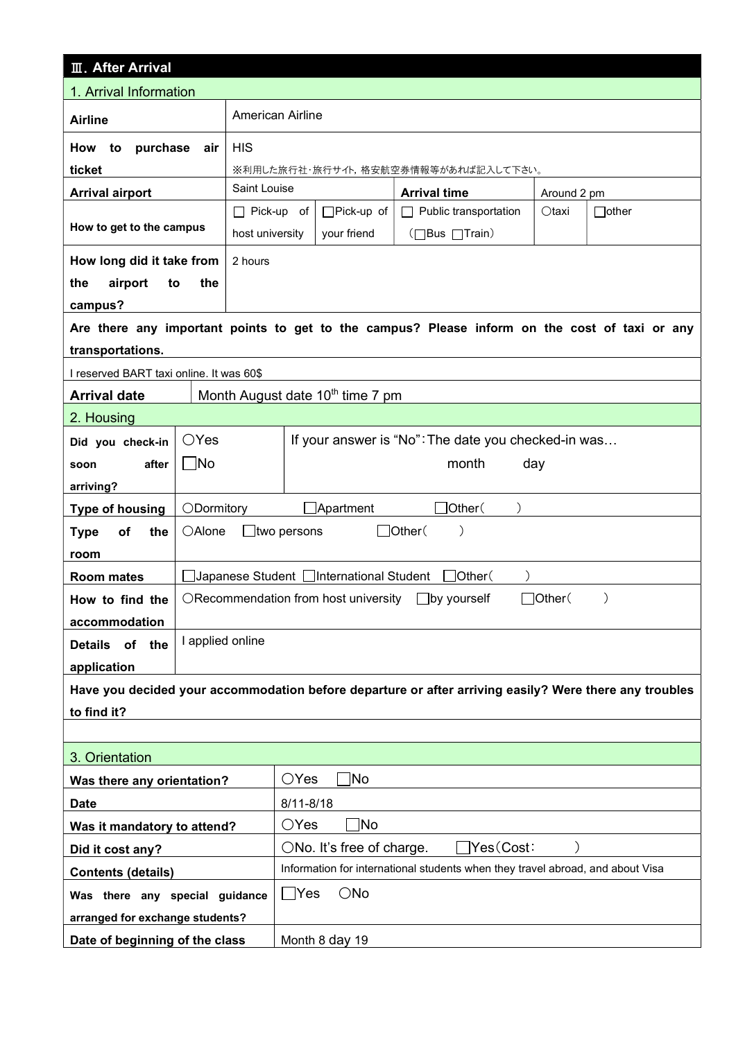| <b>III. After Arrival</b>                |                  |                    |                                                                                |                                                                                                        |             |              |  |  |
|------------------------------------------|------------------|--------------------|--------------------------------------------------------------------------------|--------------------------------------------------------------------------------------------------------|-------------|--------------|--|--|
| 1. Arrival Information                   |                  |                    |                                                                                |                                                                                                        |             |              |  |  |
| <b>Airline</b>                           |                  |                    | <b>American Airline</b>                                                        |                                                                                                        |             |              |  |  |
| How<br>to<br>purchase                    |                  |                    |                                                                                |                                                                                                        |             |              |  |  |
| ticket                                   |                  |                    |                                                                                | ※利用した旅行社・旅行サイト,格安航空券情報等があれば記入して下さい。                                                                    |             |              |  |  |
| <b>Arrival airport</b>                   |                  | Saint Louise       |                                                                                | <b>Arrival time</b>                                                                                    | Around 2 pm |              |  |  |
|                                          |                  | $\Box$ Pick-up of  | □Pick-up of<br>Public transportation<br>Otaxi<br>$\Box$                        |                                                                                                        |             | $\Box$ other |  |  |
| How to get to the campus                 |                  | host university    | your friend                                                                    | (□Bus □Train)                                                                                          |             |              |  |  |
| How long did it take from                | 2 hours          |                    |                                                                                |                                                                                                        |             |              |  |  |
| airport<br>the<br>to                     | the              |                    |                                                                                |                                                                                                        |             |              |  |  |
| campus?                                  |                  |                    |                                                                                |                                                                                                        |             |              |  |  |
|                                          |                  |                    |                                                                                | Are there any important points to get to the campus? Please inform on the cost of taxi or any          |             |              |  |  |
| transportations.                         |                  |                    |                                                                                |                                                                                                        |             |              |  |  |
| I reserved BART taxi online. It was 60\$ |                  |                    |                                                                                |                                                                                                        |             |              |  |  |
| <b>Arrival date</b>                      |                  |                    | Month August date 10 <sup>th</sup> time 7 pm                                   |                                                                                                        |             |              |  |  |
| 2. Housing                               |                  |                    |                                                                                |                                                                                                        |             |              |  |  |
| Did you check-in                         | $\bigcirc$ Yes   |                    |                                                                                | If your answer is "No": The date you checked-in was                                                    |             |              |  |  |
| after<br>soon                            | $\Box$ No        |                    | month<br>day                                                                   |                                                                                                        |             |              |  |  |
| arriving?                                |                  |                    |                                                                                |                                                                                                        |             |              |  |  |
| <b>Type of housing</b>                   | ODormitory       |                    | $\Box$ Apartment                                                               | ]Other(                                                                                                |             |              |  |  |
| <b>Type</b><br>of<br>the                 | <b>OAlone</b>    | $\Box$ two persons |                                                                                | □Other(<br>$\mathcal{E}$                                                                               |             |              |  |  |
| room                                     |                  |                    |                                                                                |                                                                                                        |             |              |  |  |
| <b>Room mates</b>                        |                  |                    | Japanese Student   International Student                                       | $\exists$ Other $($<br>$\lambda$                                                                       |             |              |  |  |
| How to find the                          |                  |                    | ORecommendation from host university                                           | _lby yourself                                                                                          | ]Other(     |              |  |  |
| accommodation                            |                  |                    |                                                                                |                                                                                                        |             |              |  |  |
| Details of the                           | I applied online |                    |                                                                                |                                                                                                        |             |              |  |  |
| application                              |                  |                    |                                                                                |                                                                                                        |             |              |  |  |
|                                          |                  |                    |                                                                                | Have you decided your accommodation before departure or after arriving easily? Were there any troubles |             |              |  |  |
| to find it?                              |                  |                    |                                                                                |                                                                                                        |             |              |  |  |
|                                          |                  |                    |                                                                                |                                                                                                        |             |              |  |  |
| 3. Orientation                           |                  |                    |                                                                                |                                                                                                        |             |              |  |  |
| Was there any orientation?               |                  |                    | ∣Nο<br>$\bigcirc$ Yes                                                          |                                                                                                        |             |              |  |  |
| <b>Date</b>                              |                  |                    | $8/11 - 8/18$                                                                  |                                                                                                        |             |              |  |  |
| Was it mandatory to attend?              |                  | $\bigcirc$ Yes     | Mo]                                                                            |                                                                                                        |             |              |  |  |
| Did it cost any?                         |                  |                    | ]Yes(Cost∶<br>○No. It's free of charge.                                        |                                                                                                        |             |              |  |  |
| <b>Contents (details)</b>                |                  |                    | Information for international students when they travel abroad, and about Visa |                                                                                                        |             |              |  |  |
| Was there any special guidance           |                  |                    | $\Box$ Yes<br>$\bigcirc$ No                                                    |                                                                                                        |             |              |  |  |
| arranged for exchange students?          |                  |                    |                                                                                |                                                                                                        |             |              |  |  |
| Date of beginning of the class           |                  |                    | Month 8 day 19                                                                 |                                                                                                        |             |              |  |  |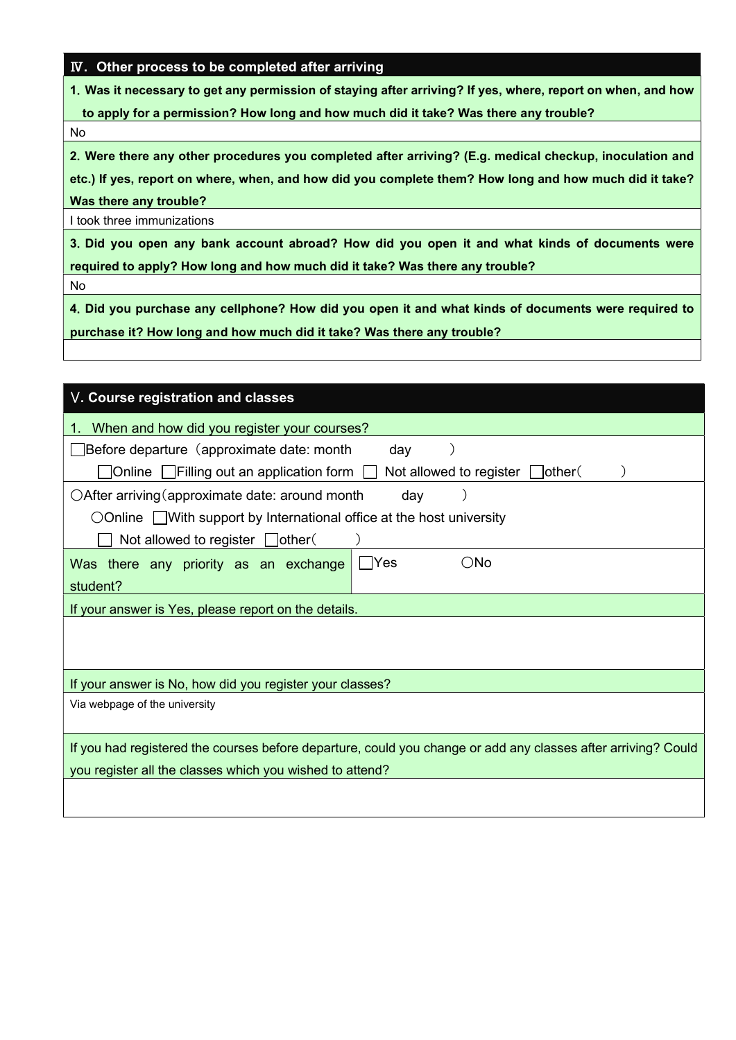### Ⅳ. Other process to be completed after arriving

1.Was it necessary to get any permission of staying after arriving? If yes, where, report on when, and how

to apply for a permission? How long and how much did it take? Was there any trouble?

No

2.Were there any other procedures you completed after arriving? (E.g. medical checkup, inoculation and

etc.) If yes, report on where, when, and how did you complete them? How long and how much did it take? Was there any trouble?

I took three immunizations

3.Did you open any bank account abroad? How did you open it and what kinds of documents were required to apply? How long and how much did it take? Was there any trouble?

No

4.Did you purchase any cellphone? How did you open it and what kinds of documents were required to purchase it? How long and how much did it take? Was there any trouble?

| V. Course registration and classes                                                                            |  |  |  |  |  |  |  |  |
|---------------------------------------------------------------------------------------------------------------|--|--|--|--|--|--|--|--|
| When and how did you register your courses?<br>1.                                                             |  |  |  |  |  |  |  |  |
| <b>Sefore departure (approximate date: month</b><br>day                                                       |  |  |  |  |  |  |  |  |
| Not allowed to register $\Box$ other (<br>_Online [_ Filling out an application form                          |  |  |  |  |  |  |  |  |
| $\bigcirc$ After arriving (approximate date: around month<br>day                                              |  |  |  |  |  |  |  |  |
| $\bigcirc$ Online With support by International office at the host university                                 |  |  |  |  |  |  |  |  |
| Not allowed to register $\Box$ other(                                                                         |  |  |  |  |  |  |  |  |
| $\bigcirc$ No<br>- IYes<br>Was there any priority as an exchange                                              |  |  |  |  |  |  |  |  |
| student?                                                                                                      |  |  |  |  |  |  |  |  |
| If your answer is Yes, please report on the details.                                                          |  |  |  |  |  |  |  |  |
|                                                                                                               |  |  |  |  |  |  |  |  |
|                                                                                                               |  |  |  |  |  |  |  |  |
| If your answer is No, how did you register your classes?                                                      |  |  |  |  |  |  |  |  |
| Via webpage of the university                                                                                 |  |  |  |  |  |  |  |  |
|                                                                                                               |  |  |  |  |  |  |  |  |
| If you had registered the courses before departure, could you change or add any classes after arriving? Could |  |  |  |  |  |  |  |  |
| you register all the classes which you wished to attend?                                                      |  |  |  |  |  |  |  |  |
|                                                                                                               |  |  |  |  |  |  |  |  |
|                                                                                                               |  |  |  |  |  |  |  |  |